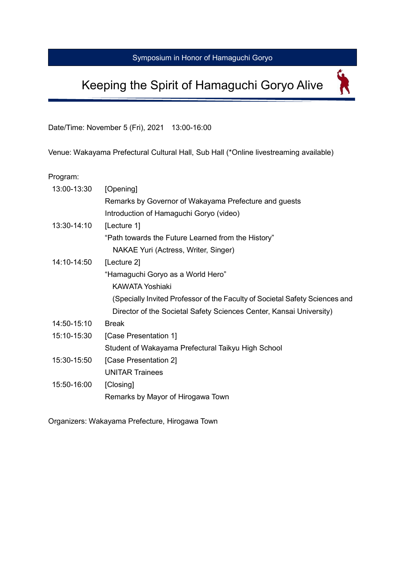## Symposium in Honor of Hamaguchi Goryo

# Keeping the Spirit of Hamaguchi Goryo Alive

 $\overline{\mathbf{X}}$ 

Date/Time: November 5 (Fri), 2021 13:00-16:00

Venue: Wakayama Prefectural Cultural Hall, Sub Hall (\*Online livestreaming available)

Program:

| 13:00-13:30 | [Opening]                                                                   |
|-------------|-----------------------------------------------------------------------------|
|             | Remarks by Governor of Wakayama Prefecture and guests                       |
|             | Introduction of Hamaguchi Goryo (video)                                     |
| 13:30-14:10 | [Lecture 1]                                                                 |
|             | "Path towards the Future Learned from the History"                          |
|             | NAKAE Yuri (Actress, Writer, Singer)                                        |
| 14:10-14:50 | [Lecture 2]                                                                 |
|             | "Hamaguchi Goryo as a World Hero"                                           |
|             | KAWATA Yoshiaki                                                             |
|             | (Specially Invited Professor of the Faculty of Societal Safety Sciences and |
|             | Director of the Societal Safety Sciences Center, Kansai University)         |
| 14:50-15:10 | <b>Break</b>                                                                |
| 15:10-15:30 | [Case Presentation 1]                                                       |
|             | Student of Wakayama Prefectural Taikyu High School                          |
| 15:30-15:50 | [Case Presentation 2]                                                       |
|             | <b>UNITAR Trainees</b>                                                      |
| 15:50-16:00 | [Closing]                                                                   |
|             | Remarks by Mayor of Hirogawa Town                                           |

Organizers: Wakayama Prefecture, Hirogawa Town